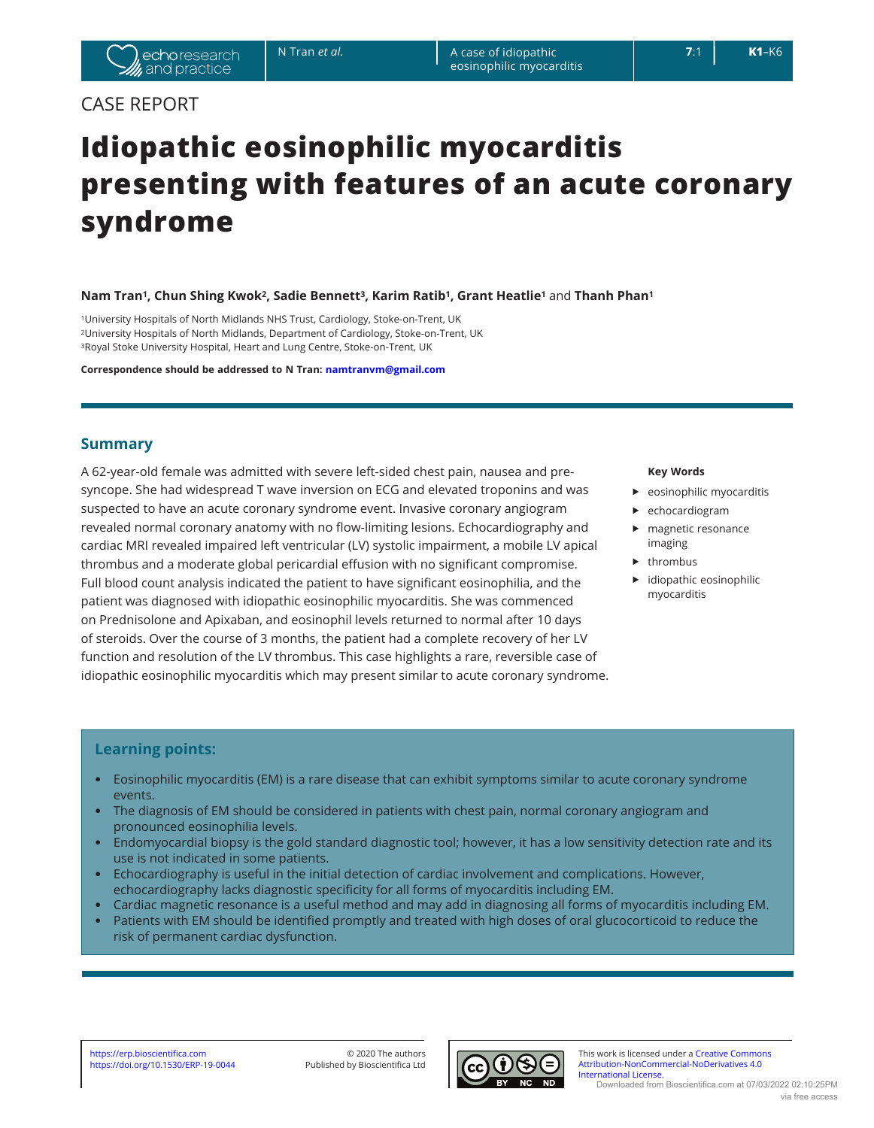## CASE REPORT

# **Idiopathic eosinophilic myocarditis presenting with features of an acute coronary syndrome**

**Nam Tran1, Chun Shing Kwok2, Sadie Bennett3, Karim Ratib1, Grant Heatlie1** and **Thanh Phan<sup>1</sup>**

1University Hospitals of North Midlands NHS Trust, Cardiology, Stoke-on-Trent, UK 2University Hospitals of North Midlands, Department of Cardiology, Stoke-on-Trent, UK 3Royal Stoke University Hospital, Heart and Lung Centre, Stoke-on-Trent, UK

**Correspondence should be addressed to N Tran: [namtranvm@gmail.com](mailto:namtranvm@gmail.com)**

## **Summary**

A 62-year-old female was admitted with severe left-sided chest pain, nausea and presyncope. She had widespread T wave inversion on ECG and elevated troponins and was suspected to have an acute coronary syndrome event. Invasive coronary angiogram revealed normal coronary anatomy with no flow-limiting lesions. Echocardiography and cardiac MRI revealed impaired left ventricular (LV) systolic impairment, a mobile LV apical thrombus and a moderate global pericardial effusion with no significant compromise. Full blood count analysis indicated the patient to have significant eosinophilia, and the patient was diagnosed with idiopathic eosinophilic myocarditis. She was commenced on Prednisolone and Apixaban, and eosinophil levels returned to normal after 10 days of steroids. Over the course of 3 months, the patient had a complete recovery of her LV function and resolution of the LV thrombus. This case highlights a rare, reversible case of idiopathic eosinophilic myocarditis which may present similar to acute coronary syndrome.

#### **Key Words**

- $\blacktriangleright$  eosinophilic myocarditis
- $\blacktriangleright$  echocardiogram
- $\blacktriangleright$  magnetic resonance imaging
- $\blacktriangleright$  thrombus
- idiopathic eosinophilic myocarditis

## **Learning points:**

- Eosinophilic myocarditis (EM) is a rare disease that can exhibit symptoms similar to acute coronary syndrome events.
- The diagnosis of EM should be considered in patients with chest pain, normal coronary angiogram and pronounced eosinophilia levels.
- Endomyocardial biopsy is the gold standard diagnostic tool; however, it has a low sensitivity detection rate and its use is not indicated in some patients.
- Echocardiography is useful in the initial detection of cardiac involvement and complications. However, echocardiography lacks diagnostic specificity for all forms of myocarditis including EM.
- Cardiac magnetic resonance is a useful method and may add in diagnosing all forms of myocarditis including EM.
- Patients with EM should be identified promptly and treated with high doses of oral glucocorticoid to reduce the risk of permanent cardiac dysfunction.



https://erp.bioscientifica.com 
© 2020 The authors Commons This work is licensed under a [Creative Commons](https://creativecommons.org/licenses/by-nc-nd/4.0/) https://doi.org/10.1530/ERP-19-0044 Published by Bioscientifica Ltd **The authors Commons** Attribution-NonCommercial-[Attribution-NonCommercial-NoDerivatives 4.0](https://creativecommons.org/licenses/by-nc-nd/4.0/)  [International License.](https://creativecommons.org/licenses/by-nc-nd/4.0/) Downloaded from Bioscientifica.com at 07/03/2022 02:10:25PM via free access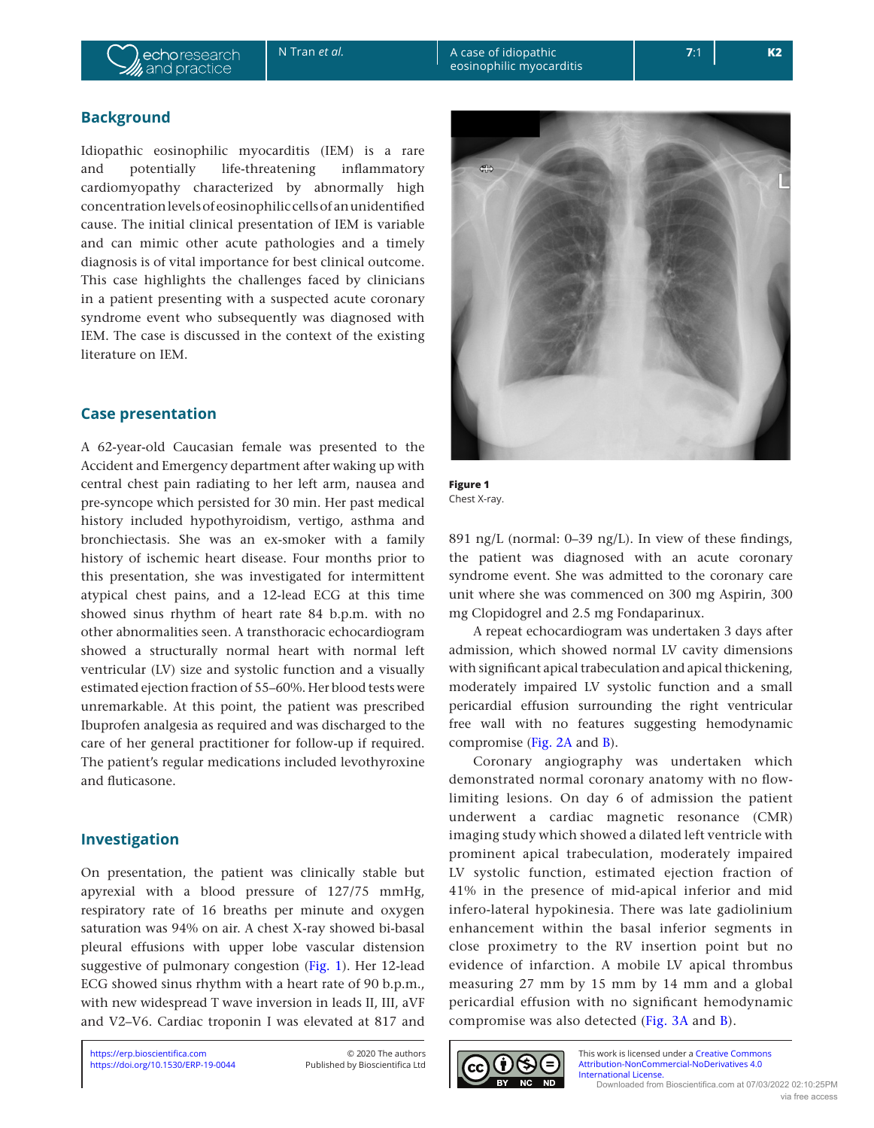## **Background**

Idiopathic eosinophilic myocarditis (IEM) is a rare and potentially life-threatening inflammatory cardiomyopathy characterized by abnormally high concentration levels of eosinophilic cells of an unidentified cause. The initial clinical presentation of IEM is variable and can mimic other acute pathologies and a timely diagnosis is of vital importance for best clinical outcome. This case highlights the challenges faced by clinicians in a patient presenting with a suspected acute coronary syndrome event who subsequently was diagnosed with IEM. The case is discussed in the context of the existing literature on IEM.

## **Case presentation**

A 62-year-old Caucasian female was presented to the Accident and Emergency department after waking up with central chest pain radiating to her left arm, nausea and pre-syncope which persisted for 30 min. Her past medical history included hypothyroidism, vertigo, asthma and bronchiectasis. She was an ex-smoker with a family history of ischemic heart disease. Four months prior to this presentation, she was investigated for intermittent atypical chest pains, and a 12-lead ECG at this time showed sinus rhythm of heart rate 84 b.p.m. with no other abnormalities seen. A transthoracic echocardiogram showed a structurally normal heart with normal left ventricular (LV) size and systolic function and a visually estimated ejection fraction of 55–60%. Her blood tests were unremarkable. At this point, the patient was prescribed Ibuprofen analgesia as required and was discharged to the care of her general practitioner for follow-up if required. The patient's regular medications included levothyroxine and fluticasone.

## **Investigation**

On presentation, the patient was clinically stable but apyrexial with a blood pressure of 127/75 mmHg, respiratory rate of 16 breaths per minute and oxygen saturation was 94% on air. A chest X-ray showed bi-basal pleural effusions with upper lobe vascular distension suggestive of pulmonary congestion (Fig. 1). Her 12-lead ECG showed sinus rhythm with a heart rate of 90 b.p.m., with new widespread T wave inversion in leads II, III, aVF and V2–V6. Cardiac troponin I was elevated at 817 and



**Figure 1** Chest X-ray.

891 ng/L (normal: 0–39 ng/L). In view of these findings, the patient was diagnosed with an acute coronary syndrome event. She was admitted to the coronary care unit where she was commenced on 300 mg Aspirin, 300 mg Clopidogrel and 2.5 mg Fondaparinux.

A repeat echocardiogram was undertaken 3 days after admission, which showed normal LV cavity dimensions with significant apical trabeculation and apical thickening, moderately impaired LV systolic function and a small pericardial effusion surrounding the right ventricular free wall with no features suggesting hemodynamic compromise [\(Fig. 2A](#page-2-0) and [B\)](#page-2-0).

Coronary angiography was undertaken which demonstrated normal coronary anatomy with no flowlimiting lesions. On day 6 of admission the patient underwent a cardiac magnetic resonance (CMR) imaging study which showed a dilated left ventricle with prominent apical trabeculation, moderately impaired LV systolic function, estimated ejection fraction of 41% in the presence of mid-apical inferior and mid infero-lateral hypokinesia. There was late gadiolinium enhancement within the basal inferior segments in close proximetry to the RV insertion point but no evidence of infarction. A mobile LV apical thrombus measuring 27 mm by 15 mm by 14 mm and a global pericardial effusion with no significant hemodynamic compromise was also detected ([Fig. 3A](#page-3-0) and [B](#page-3-0)).

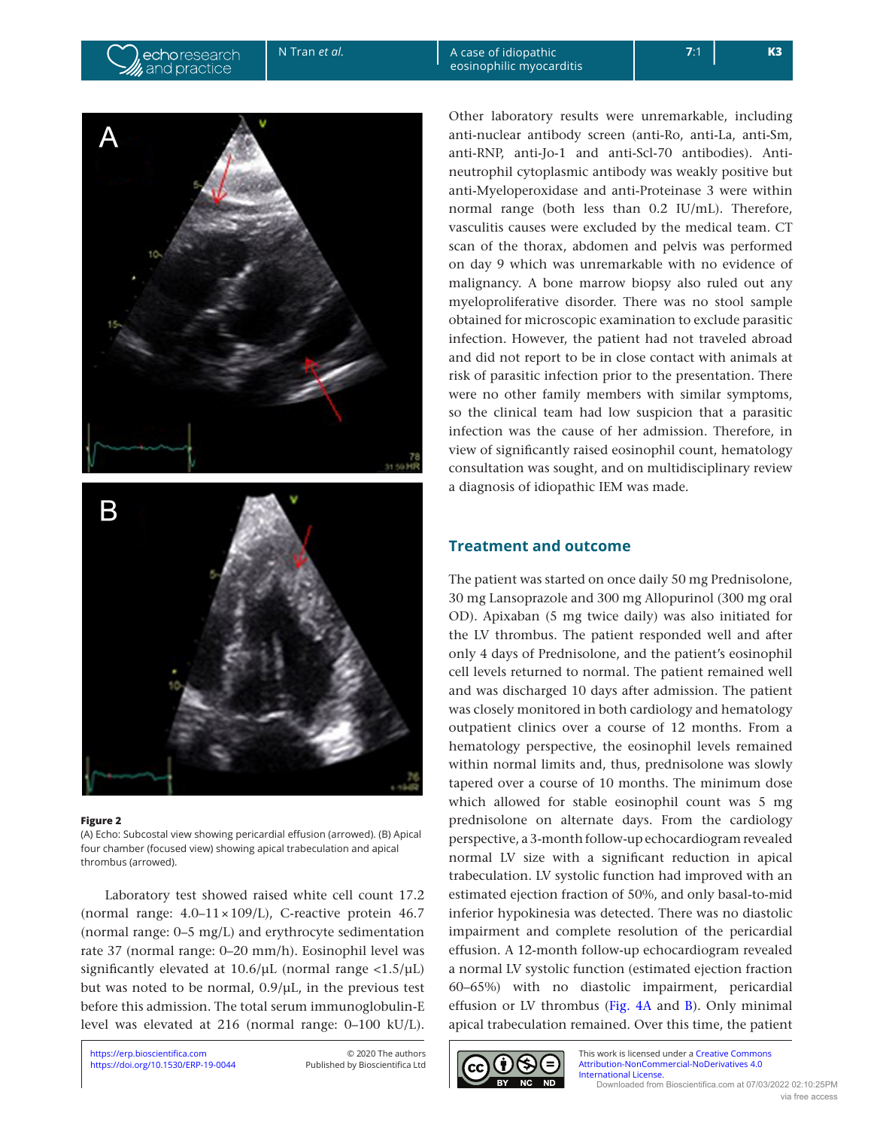echoresearch

and practice

N Tran *et al.* A case of idiopathic eosinophilic myocarditis

<span id="page-2-0"></span>

#### **Figure 2**

(A) Echo: Subcostal view showing pericardial effusion (arrowed). (B) Apical four chamber (focused view) showing apical trabeculation and apical thrombus (arrowed).

Laboratory test showed raised white cell count 17.2 (normal range:  $4.0-11 \times 109$ /L), C-reactive protein 46.7 (normal range: 0–5 mg/L) and erythrocyte sedimentation rate 37 (normal range: 0–20 mm/h). Eosinophil level was significantly elevated at  $10.6/\mu$ L (normal range <1.5/ $\mu$ L) but was noted to be normal, 0.9/µL, in the previous test before this admission. The total serum immunoglobulin-E level was elevated at 216 (normal range: 0–100 kU/L).

Other laboratory results were unremarkable, including anti-nuclear antibody screen (anti-Ro, anti-La, anti-Sm, anti-RNP, anti-Jo-1 and anti-Scl-70 antibodies). Antineutrophil cytoplasmic antibody was weakly positive but anti-Myeloperoxidase and anti-Proteinase 3 were within normal range (both less than 0.2 IU/mL). Therefore, vasculitis causes were excluded by the medical team. CT scan of the thorax, abdomen and pelvis was performed on day 9 which was unremarkable with no evidence of malignancy. A bone marrow biopsy also ruled out any myeloproliferative disorder. There was no stool sample obtained for microscopic examination to exclude parasitic infection. However, the patient had not traveled abroad and did not report to be in close contact with animals at risk of parasitic infection prior to the presentation. There were no other family members with similar symptoms, so the clinical team had low suspicion that a parasitic infection was the cause of her admission. Therefore, in view of significantly raised eosinophil count, hematology consultation was sought, and on multidisciplinary review a diagnosis of idiopathic IEM was made.

## **Treatment and outcome**

The patient was started on once daily 50 mg Prednisolone, 30 mg Lansoprazole and 300 mg Allopurinol (300 mg oral OD). Apixaban (5 mg twice daily) was also initiated for the LV thrombus. The patient responded well and after only 4 days of Prednisolone, and the patient's eosinophil cell levels returned to normal. The patient remained well and was discharged 10 days after admission. The patient was closely monitored in both cardiology and hematology outpatient clinics over a course of 12 months. From a hematology perspective, the eosinophil levels remained within normal limits and, thus, prednisolone was slowly tapered over a course of 10 months. The minimum dose which allowed for stable eosinophil count was 5 mg prednisolone on alternate days. From the cardiology perspective, a 3-month follow-up echocardiogram revealed normal LV size with a significant reduction in apical trabeculation. LV systolic function had improved with an estimated ejection fraction of 50%, and only basal-to-mid inferior hypokinesia was detected. There was no diastolic impairment and complete resolution of the pericardial effusion. A 12-month follow-up echocardiogram revealed a normal LV systolic function (estimated ejection fraction 60–65%) with no diastolic impairment, pericardial effusion or LV thrombus ([Fig. 4A](#page-3-0) and [B\)](#page-3-0). Only minimal apical trabeculation remained. Over this time, the patient

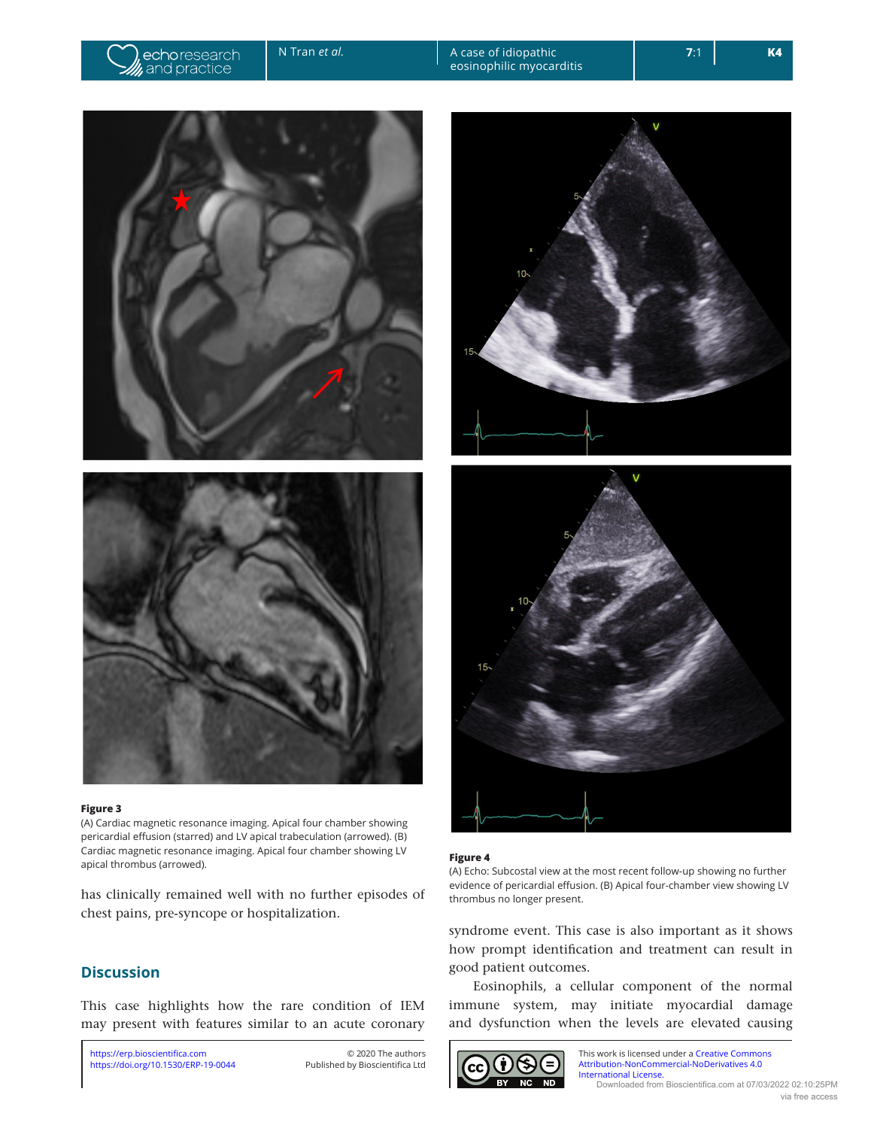<span id="page-3-0"></span>

N Tran *et al.* A case of idiopathic eosinophilic myocarditis





#### **Figure 3**

(A) Cardiac magnetic resonance imaging. Apical four chamber showing pericardial effusion (starred) and LV apical trabeculation (arrowed). (B) Cardiac magnetic resonance imaging. Apical four chamber showing LV **Cardiac magnetic resonance imaging. Apical four charliber showing Ly**<br>apical thrombus (arrowed).

has clinically remained well with no further episodes of chest pains, pre-syncope or hospitalization.

## **Discussion**

This case highlights how the rare condition of IEM may present with features similar to an acute coronary





(A) Echo: Subcostal view at the most recent follow-up showing no further evidence of pericardial effusion. (B) Apical four-chamber view showing LV thrombus no longer present.

syndrome event. This case is also important as it shows how prompt identification and treatment can result in good patient outcomes.

Eosinophils, a cellular component of the normal immune system, may initiate myocardial damage and dysfunction when the levels are elevated causing



This work is licensed under a [Creative Commons](https://creativecommons.org/licenses/by-nc-nd/4.0/)  [Attribution-NonCommercial-NoDerivatives 4.0](https://creativecommons.org/licenses/by-nc-nd/4.0/)  [International License.](https://creativecommons.org/licenses/by-nc-nd/4.0/) Downloaded from Bioscientifica.com at 07/03/2022 02:10:25PM via free access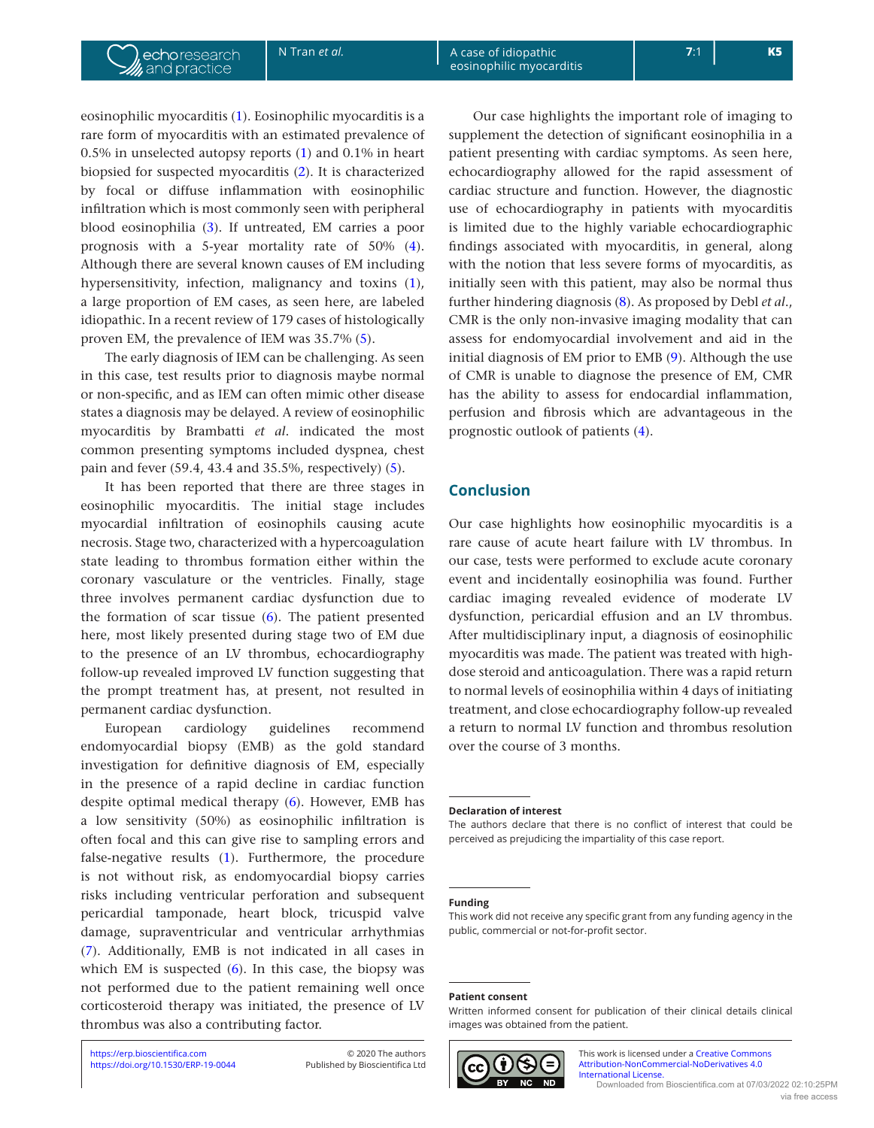eosinophilic myocarditis [\(1](#page-5-0)). Eosinophilic myocarditis is a rare form of myocarditis with an estimated prevalence of 0.5% in unselected autopsy reports [\(1](#page-5-0)) and 0.1% in heart biopsied for suspected myocarditis ([2](#page-5-1)). It is characterized by focal or diffuse inflammation with eosinophilic infiltration which is most commonly seen with peripheral blood eosinophilia ([3](#page-5-2)). If untreated, EM carries a poor prognosis with a 5-year mortality rate of 50% ([4\)](#page-5-3). Although there are several known causes of EM including hypersensitivity, infection, malignancy and toxins ([1\)](#page-5-0), a large proportion of EM cases, as seen here, are labeled idiopathic. In a recent review of 179 cases of histologically proven EM, the prevalence of IEM was 35.7% [\(5](#page-5-4)).

The early diagnosis of IEM can be challenging. As seen in this case, test results prior to diagnosis maybe normal or non-specific, and as IEM can often mimic other disease states a diagnosis may be delayed. A review of eosinophilic myocarditis by Brambatti *et al*. indicated the most common presenting symptoms included dyspnea, chest pain and fever (59.4, 43.4 and 35.5%, respectively) [\(5](#page-5-4)).

It has been reported that there are three stages in eosinophilic myocarditis. The initial stage includes myocardial infiltration of eosinophils causing acute necrosis. Stage two, characterized with a hypercoagulation state leading to thrombus formation either within the coronary vasculature or the ventricles. Finally, stage three involves permanent cardiac dysfunction due to the formation of scar tissue ([6\)](#page-5-5). The patient presented here, most likely presented during stage two of EM due to the presence of an LV thrombus, echocardiography follow-up revealed improved LV function suggesting that the prompt treatment has, at present, not resulted in permanent cardiac dysfunction.

European cardiology guidelines recommend endomyocardial biopsy (EMB) as the gold standard investigation for definitive diagnosis of EM, especially in the presence of a rapid decline in cardiac function despite optimal medical therapy ([6\)](#page-5-5). However, EMB has a low sensitivity (50%) as eosinophilic infiltration is often focal and this can give rise to sampling errors and false-negative results ([1\)](#page-5-0). Furthermore, the procedure is not without risk, as endomyocardial biopsy carries risks including ventricular perforation and subsequent pericardial tamponade, heart block, tricuspid valve damage, supraventricular and ventricular arrhythmias ([7\)](#page-5-6). Additionally, EMB is not indicated in all cases in which EM is suspected  $(6)$  $(6)$ . In this case, the biopsy was not performed due to the patient remaining well once corticosteroid therapy was initiated, the presence of LV thrombus was also a contributing factor.

Our case highlights the important role of imaging to supplement the detection of significant eosinophilia in a patient presenting with cardiac symptoms. As seen here, echocardiography allowed for the rapid assessment of cardiac structure and function. However, the diagnostic use of echocardiography in patients with myocarditis is limited due to the highly variable echocardiographic findings associated with myocarditis, in general, along with the notion that less severe forms of myocarditis, as initially seen with this patient, may also be normal thus further hindering diagnosis ([8](#page-5-7)). As proposed by Debl *et al*., CMR is the only non-invasive imaging modality that can assess for endomyocardial involvement and aid in the initial diagnosis of EM prior to EMB [\(9](#page-5-8)). Although the use of CMR is unable to diagnose the presence of EM, CMR has the ability to assess for endocardial inflammation, perfusion and fibrosis which are advantageous in the prognostic outlook of patients [\(4](#page-5-3)).

## **Conclusion**

Our case highlights how eosinophilic myocarditis is a rare cause of acute heart failure with LV thrombus. In our case, tests were performed to exclude acute coronary event and incidentally eosinophilia was found. Further cardiac imaging revealed evidence of moderate LV dysfunction, pericardial effusion and an LV thrombus. After multidisciplinary input, a diagnosis of eosinophilic myocarditis was made. The patient was treated with highdose steroid and anticoagulation. There was a rapid return to normal levels of eosinophilia within 4 days of initiating treatment, and close echocardiography follow-up revealed a return to normal LV function and thrombus resolution over the course of 3 months.

#### **Declaration of interest**

The authors declare that there is no conflict of interest that could be perceived as prejudicing the impartiality of this case report.

#### **Funding**

This work did not receive any specific grant from any funding agency in the public, commercial or not-for-profit sector.

#### **Patient consent**

Written informed consent for publication of their clinical details clinical images was obtained from the patient.